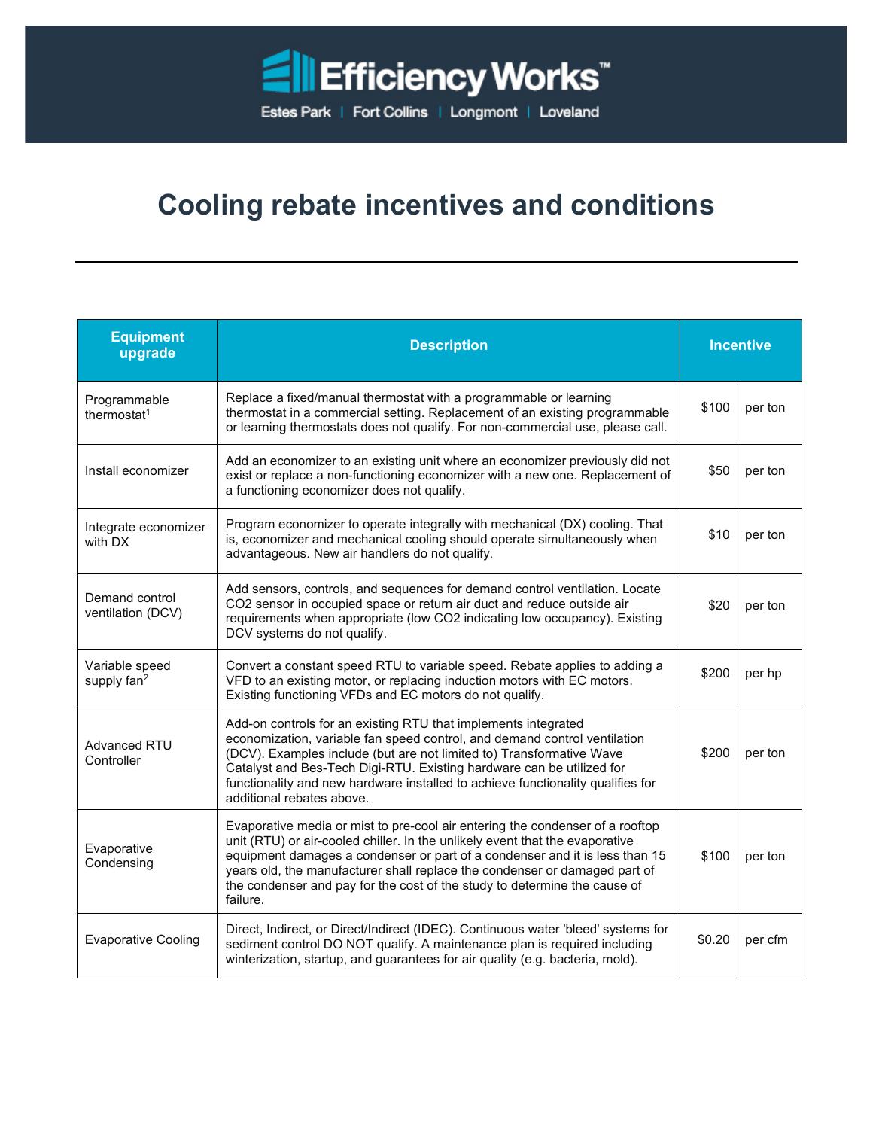

## **Cooling rebate incentives and conditions**

| <b>Equipment</b><br>upgrade               | <b>Description</b>                                                                                                                                                                                                                                                                                                                                                                                                  | <b>Incentive</b> |         |
|-------------------------------------------|---------------------------------------------------------------------------------------------------------------------------------------------------------------------------------------------------------------------------------------------------------------------------------------------------------------------------------------------------------------------------------------------------------------------|------------------|---------|
| Programmable<br>thermostat <sup>1</sup>   | Replace a fixed/manual thermostat with a programmable or learning<br>thermostat in a commercial setting. Replacement of an existing programmable<br>or learning thermostats does not qualify. For non-commercial use, please call.                                                                                                                                                                                  | \$100            | per ton |
| Install economizer                        | Add an economizer to an existing unit where an economizer previously did not<br>exist or replace a non-functioning economizer with a new one. Replacement of<br>a functioning economizer does not qualify.                                                                                                                                                                                                          | \$50             | per ton |
| Integrate economizer<br>with DX           | Program economizer to operate integrally with mechanical (DX) cooling. That<br>is, economizer and mechanical cooling should operate simultaneously when<br>advantageous. New air handlers do not qualify.                                                                                                                                                                                                           | \$10             | per ton |
| Demand control<br>ventilation (DCV)       | Add sensors, controls, and sequences for demand control ventilation. Locate<br>CO2 sensor in occupied space or return air duct and reduce outside air<br>requirements when appropriate (low CO2 indicating low occupancy). Existing<br>DCV systems do not qualify.                                                                                                                                                  | \$20             | per ton |
| Variable speed<br>supply fan <sup>2</sup> | Convert a constant speed RTU to variable speed. Rebate applies to adding a<br>VFD to an existing motor, or replacing induction motors with EC motors.<br>Existing functioning VFDs and EC motors do not qualify.                                                                                                                                                                                                    | \$200            | per hp  |
| <b>Advanced RTU</b><br>Controller         | Add-on controls for an existing RTU that implements integrated<br>economization, variable fan speed control, and demand control ventilation<br>(DCV). Examples include (but are not limited to) Transformative Wave<br>Catalyst and Bes-Tech Digi-RTU. Existing hardware can be utilized for<br>functionality and new hardware installed to achieve functionality qualifies for<br>additional rebates above.        | \$200            | per ton |
| Evaporative<br>Condensing                 | Evaporative media or mist to pre-cool air entering the condenser of a rooftop<br>unit (RTU) or air-cooled chiller. In the unlikely event that the evaporative<br>equipment damages a condenser or part of a condenser and it is less than 15<br>years old, the manufacturer shall replace the condenser or damaged part of<br>the condenser and pay for the cost of the study to determine the cause of<br>failure. | \$100            | per ton |
| <b>Evaporative Cooling</b>                | Direct, Indirect, or Direct/Indirect (IDEC). Continuous water 'bleed' systems for<br>sediment control DO NOT qualify. A maintenance plan is required including<br>winterization, startup, and guarantees for air quality (e.g. bacteria, mold).                                                                                                                                                                     | \$0.20           | per cfm |